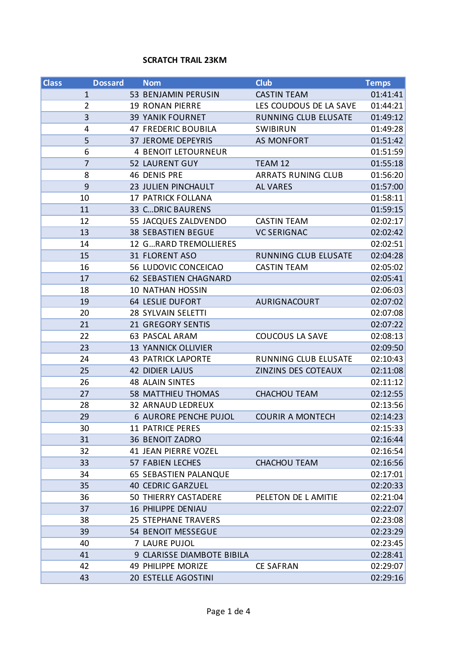## **SCRATCH TRAIL 23KM**

| <b>Class</b> | <b>Dossard</b> | <b>Nom</b>                   | <b>Club</b>               | <b>Temps</b> |
|--------------|----------------|------------------------------|---------------------------|--------------|
|              | $\mathbf{1}$   | 53 BENJAMIN PERUSIN          | <b>CASTIN TEAM</b>        | 01:41:41     |
|              | $\overline{2}$ | <b>19 RONAN PIERRE</b>       | LES COUDOUS DE LA SAVE    | 01:44:21     |
|              | 3              | <b>39 YANIK FOURNET</b>      | RUNNING CLUB ELUSATE      | 01:49:12     |
|              | 4              | <b>47 FREDERIC BOUBILA</b>   | SWIBIRUN                  | 01:49:28     |
|              | 5              | <b>37 JEROME DEPEYRIS</b>    | <b>AS MONFORT</b>         | 01:51:42     |
|              | 6              | <b>4 BENOIT LETOURNEUR</b>   |                           | 01:51:59     |
|              | $\overline{7}$ | 52 LAURENT GUY               | TEAM 12                   | 01:55:18     |
|              | 8              | 46 DENIS PRE                 | <b>ARRATS RUNING CLUB</b> | 01:56:20     |
|              | 9              | 23 JULIEN PINCHAULT          | <b>AL VARES</b>           | 01:57:00     |
| 10           |                | 17 PATRICK FOLLANA           |                           | 01:58:11     |
| 11           |                | 33 CDRIC BAURENS             |                           | 01:59:15     |
| 12           |                | 55 JACQUES ZALDVENDO         | <b>CASTIN TEAM</b>        | 02:02:17     |
| 13           |                | <b>38 SEBASTIEN BEGUE</b>    | <b>VC SERIGNAC</b>        | 02:02:42     |
| 14           |                | 12 GRARD TREMOLLIERES        |                           | 02:02:51     |
| 15           |                | <b>31 FLORENT ASO</b>        | RUNNING CLUB ELUSATE      | 02:04:28     |
| 16           |                | 56 LUDOVIC CONCEICAO         | <b>CASTIN TEAM</b>        | 02:05:02     |
| 17           |                | <b>62 SEBASTIEN CHAGNARD</b> |                           | 02:05:41     |
| 18           |                | 10 NATHAN HOSSIN             |                           | 02:06:03     |
| 19           |                | <b>64 LESLIE DUFORT</b>      | AURIGNACOURT              | 02:07:02     |
| 20           |                | 28 SYLVAIN SELETTI           |                           | 02:07:08     |
| 21           |                | 21 GREGORY SENTIS            |                           | 02:07:22     |
| 22           |                | 63 PASCAL ARAM               | <b>COUCOUS LA SAVE</b>    | 02:08:13     |
| 23           |                | <b>13 YANNICK OLLIVIER</b>   |                           | 02:09:50     |
| 24           |                | <b>43 PATRICK LAPORTE</b>    | RUNNING CLUB ELUSATE      | 02:10:43     |
| 25           |                | <b>42 DIDIER LAJUS</b>       | ZINZINS DES COTEAUX       | 02:11:08     |
| 26           |                | <b>48 ALAIN SINTES</b>       |                           | 02:11:12     |
| 27           |                | <b>58 MATTHIEU THOMAS</b>    | <b>CHACHOU TEAM</b>       | 02:12:55     |
| 28           |                | <b>32 ARNAUD LEDREUX</b>     |                           | 02:13:56     |
| 29           |                | <b>6 AURORE PENCHE PUJOL</b> | <b>COURIR A MONTECH</b>   | 02:14:23     |
| 30           |                | <b>11 PATRICE PERES</b>      |                           | 02:15:33     |
| 31           |                | <b>36 BENOIT ZADRO</b>       |                           | 02:16:44     |
| 32           |                | <b>41 JEAN PIERRE VOZEL</b>  |                           | 02:16:54     |
| 33           |                | <b>57 FABIEN LECHES</b>      | <b>CHACHOU TEAM</b>       | 02:16:56     |
| 34           |                | 65 SEBASTIEN PALANQUE        |                           | 02:17:01     |
| 35           |                | <b>40 CEDRIC GARZUEL</b>     |                           | 02:20:33     |
| 36           |                | 50 THIERRY CASTADERE         | PELETON DE L AMITIE       | 02:21:04     |
| 37           |                | <b>16 PHILIPPE DENIAU</b>    |                           | 02:22:07     |
| 38           |                | <b>25 STEPHANE TRAVERS</b>   |                           | 02:23:08     |
| 39           |                | 54 BENOIT MESSEGUE           |                           | 02:23:29     |
| 40           |                | 7 LAURE PUJOL                |                           | 02:23:45     |
| 41           |                | 9 CLARISSE DIAMBOTE BIBILA   |                           | 02:28:41     |
| 42           |                | 49 PHILIPPE MORIZE           | <b>CE SAFRAN</b>          | 02:29:07     |
| 43           |                | 20 ESTELLE AGOSTINI          |                           | 02:29:16     |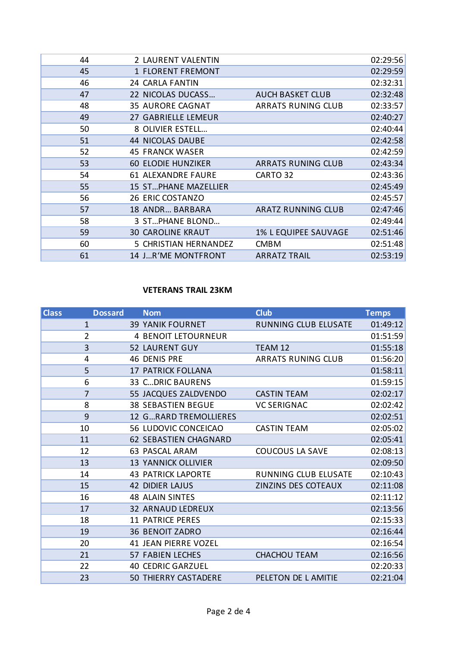| 44 | 2 LAURENT VALENTIN          |                             | 02:29:56 |
|----|-----------------------------|-----------------------------|----------|
| 45 | 1 FLORENT FREMONT           |                             | 02:29:59 |
| 46 | 24 CARLA FANTIN             |                             | 02:32:31 |
| 47 | 22 NICOLAS DUCASS           | <b>AUCH BASKET CLUB</b>     | 02:32:48 |
| 48 | <b>35 AURORE CAGNAT</b>     | <b>ARRATS RUNING CLUB</b>   | 02:33:57 |
| 49 | 27 GABRIELLE LEMEUR         |                             | 02:40:27 |
| 50 | 8 OLIVIER ESTELL            |                             | 02:40:44 |
| 51 | <b>44 NICOLAS DAUBE</b>     |                             | 02:42:58 |
| 52 | <b>45 FRANCK WASER</b>      |                             | 02:42:59 |
| 53 | <b>60 ELODIE HUNZIKER</b>   | <b>ARRATS RUNING CLUB</b>   | 02:43:34 |
| 54 | <b>61 ALEXANDRE FAURE</b>   | CARTO <sub>32</sub>         | 02:43:36 |
| 55 | <b>15 STPHANE MAZELLIER</b> |                             | 02:45:49 |
| 56 | 26 ERIC COSTANZO            |                             | 02:45:57 |
| 57 | 18 ANDR BARBARA             | <b>ARATZ RUNNING CLUB</b>   | 02:47:46 |
| 58 | 3 STPHANE BLOND             |                             | 02:49:44 |
| 59 | <b>30 CAROLINE KRAUT</b>    | <b>1% L EQUIPEE SAUVAGE</b> | 02:51:46 |
| 60 | 5 CHRISTIAN HERNANDEZ       | <b>CMBM</b>                 | 02:51:48 |
| 61 | 14 JR'ME MONTFRONT          | <b>ARRATZ TRAIL</b>         | 02:53:19 |

#### **VETERANS TRAIL 23KM**

| <b>Class</b> | <b>Dossard</b> |    | <b>Nom</b>                   | Club                        | <b>Temps</b> |
|--------------|----------------|----|------------------------------|-----------------------------|--------------|
|              | 1              |    | <b>39 YANIK FOURNET</b>      | <b>RUNNING CLUB ELUSATE</b> | 01:49:12     |
|              | $\overline{2}$ |    | <b>4 BENOIT LETOURNEUR</b>   |                             | 01:51:59     |
|              | $\overline{3}$ |    | 52 LAURENT GUY               | TEAM 12                     | 01:55:18     |
|              | 4              |    | 46 DENIS PRE                 | <b>ARRATS RUNING CLUB</b>   | 01:56:20     |
|              | 5              |    | <b>17 PATRICK FOLLANA</b>    |                             | 01:58:11     |
|              | 6              |    | 33 CDRIC BAURENS             |                             | 01:59:15     |
|              | $\overline{7}$ |    | 55 JACQUES ZALDVENDO         | <b>CASTIN TEAM</b>          | 02:02:17     |
|              | 8              |    | <b>38 SEBASTIEN BEGUE</b>    | <b>VC SERIGNAC</b>          | 02:02:42     |
|              | 9              |    | <b>12 GRARD TREMOLLIERES</b> |                             | 02:02:51     |
|              | 10             |    | 56 LUDOVIC CONCEICAO         | <b>CASTIN TEAM</b>          | 02:05:02     |
|              | 11             |    | <b>62 SEBASTIEN CHAGNARD</b> |                             | 02:05:41     |
|              | 12             |    | <b>63 PASCAL ARAM</b>        | <b>COUCOUS LA SAVE</b>      | 02:08:13     |
|              | 13             |    | <b>13 YANNICK OLLIVIER</b>   |                             | 02:09:50     |
|              | 14             |    | <b>43 PATRICK LAPORTE</b>    | RUNNING CLUB ELUSATE        | 02:10:43     |
|              | 15             |    | <b>42 DIDIER LAJUS</b>       | ZINZINS DES COTEAUX         | 02:11:08     |
|              | 16             |    | <b>48 ALAIN SINTES</b>       |                             | 02:11:12     |
|              | 17             |    | <b>32 ARNAUD LEDREUX</b>     |                             | 02:13:56     |
|              | 18             |    | <b>11 PATRICE PERES</b>      |                             | 02:15:33     |
|              | 19             |    | <b>36 BENOIT ZADRO</b>       |                             | 02:16:44     |
|              | 20             |    | <b>41 JEAN PIERRE VOZEL</b>  |                             | 02:16:54     |
|              | 21             |    | <b>57 FABIEN LECHES</b>      | <b>CHACHOU TEAM</b>         | 02:16:56     |
|              | 22             | 40 | <b>CEDRIC GARZUEL</b>        |                             | 02:20:33     |
|              | 23             |    | 50 THIERRY CASTADERE         | PELETON DE L AMITIE         | 02:21:04     |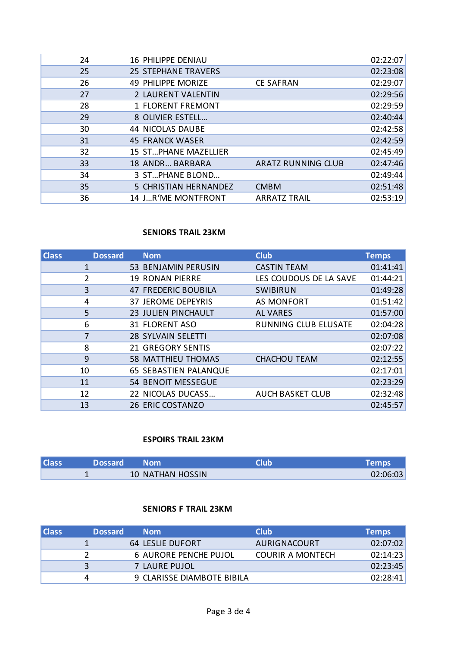| 24 | <b>16 PHILIPPE DENIAU</b>   |                           | 02:22:07 |
|----|-----------------------------|---------------------------|----------|
| 25 | <b>25 STEPHANE TRAVERS</b>  |                           | 02:23:08 |
| 26 | <b>49 PHILIPPE MORIZE</b>   | <b>CE SAFRAN</b>          | 02:29:07 |
| 27 | 2 LAURENT VALENTIN          |                           | 02:29:56 |
| 28 | <b>1 FLORENT FREMONT</b>    |                           | 02:29:59 |
| 29 | 8 OLIVIER ESTELL            |                           | 02:40:44 |
| 30 | <b>44 NICOLAS DAUBE</b>     |                           | 02:42:58 |
| 31 | <b>45 FRANCK WASER</b>      |                           | 02:42:59 |
| 32 | <b>15 STPHANE MAZELLIER</b> |                           | 02:45:49 |
| 33 | 18 ANDR BARBARA             | <b>ARATZ RUNNING CLUB</b> | 02:47:46 |
| 34 | 3 ST PHANE BLOND            |                           | 02:49:44 |
| 35 | 5 CHRISTIAN HERNANDEZ       | <b>CMBM</b>               | 02:51:48 |
| 36 | 14 JR'ME MONTFRONT          | <b>ARRATZ TRAIL</b>       | 02:53:19 |
|    |                             |                           |          |

# **SENIORS TRAIL 23KM**

| <b>Class</b> | <b>Dossard</b> | <b>Nom</b>                   | <b>Club</b>                 | <b>Temps</b> |
|--------------|----------------|------------------------------|-----------------------------|--------------|
| 1            |                | 53 BENJAMIN PERUSIN          | <b>CASTIN TEAM</b>          | 01:41:41     |
| 2            |                | <b>19 RONAN PIERRE</b>       | LES COUDOUS DE LA SAVE      | 01:44:21     |
| 3            |                | <b>47 FREDERIC BOUBILA</b>   | <b>SWIBIRUN</b>             | 01:49:28     |
| 4            |                | <b>37 JEROME DEPEYRIS</b>    | <b>AS MONFORT</b>           | 01:51:42     |
| 5            |                | 23 JULIEN PINCHAULT          | <b>AL VARES</b>             | 01:57:00     |
| 6            |                | 31 FLORENT ASO               | <b>RUNNING CLUB ELUSATE</b> | 02:04:28     |
| 7            |                | 28 SYLVAIN SELETTI           |                             | 02:07:08     |
| 8            |                | 21 GREGORY SENTIS            |                             | 02:07:22     |
| 9            |                | 58 MATTHIEU THOMAS           | <b>CHACHOU TEAM</b>         | 02:12:55     |
| 10           |                | <b>65 SEBASTIEN PALANQUE</b> |                             | 02:17:01     |
| 11           |                | 54 BENOIT MESSEGUE           |                             | 02:23:29     |
| 12           |                | 22 NICOLAS DUCASS            | <b>AUCH BASKET CLUB</b>     | 02:32:48     |
| 13           |                | 26 ERIC COSTANZO             |                             | 02:45:57     |

#### **ESPOIRS TRAIL 23KM**

| <b>Class</b> | <b>Dossard</b> | <b>Nom</b>              | Club | Temps'   |
|--------------|----------------|-------------------------|------|----------|
|              |                | <b>10 NATHAN HOSSIN</b> |      | 02:06:03 |

### **SENIORS F TRAIL 23KM**

| <b>Class</b> | <b>Dossard</b> | <b>Nom</b>                 | <b>Club</b>      | <b>Temps</b> |
|--------------|----------------|----------------------------|------------------|--------------|
|              |                | 64 LESLIE DUFORT           | AURIGNACOURT     | 02:07:02     |
|              |                | 6 AURORE PENCHE PUJOL      | COURIR A MONTECH | 02:14:23     |
|              |                | 7 LAURE PUJOL              |                  | 02:23:45     |
|              |                | 9 CLARISSE DIAMBOTE BIBILA |                  | 02:28:41     |